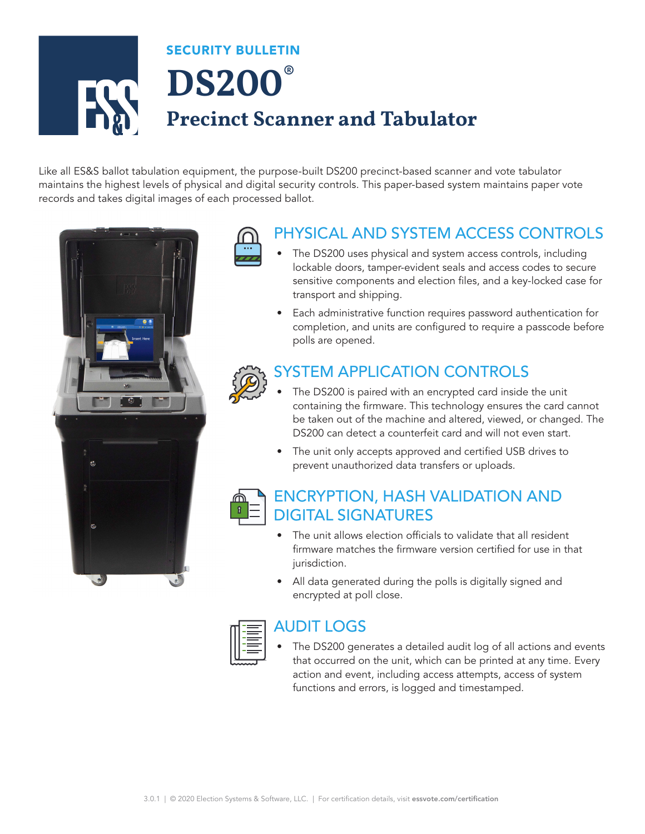# SECURITY BULLETIN **DS200® Precinct Scanner and Tabulator**

Like all ES&S ballot tabulation equipment, the purpose-built DS200 precinct-based scanner and vote tabulator maintains the highest levels of physical and digital security controls. This paper-based system maintains paper vote records and takes digital images of each processed ballot.



### PHYSICAL AND SYSTEM ACCESS CONTROLS

- The DS200 uses physical and system access controls, including lockable doors, tamper-evident seals and access codes to secure sensitive components and election files, and a key-locked case for transport and shipping.
- Each administrative function requires password authentication for completion, and units are configured to require a passcode before polls are opened.

#### SYSTEM APPLICATION CONTROLS

- The DS200 is paired with an encrypted card inside the unit containing the firmware. This technology ensures the card cannot be taken out of the machine and altered, viewed, or changed. The DS200 can detect a counterfeit card and will not even start.
- The unit only accepts approved and certified USB drives to prevent unauthorized data transfers or uploads.



#### ENCRYPTION, HASH VALIDATION AND DIGITAL SIGNATURES

- The unit allows election officials to validate that all resident firmware matches the firmware version certified for use in that jurisdiction.
- All data generated during the polls is digitally signed and encrypted at poll close.



#### AUDIT LOGS

The DS200 generates a detailed audit log of all actions and events that occurred on the unit, which can be printed at any time. Every action and event, including access attempts, access of system functions and errors, is logged and timestamped.